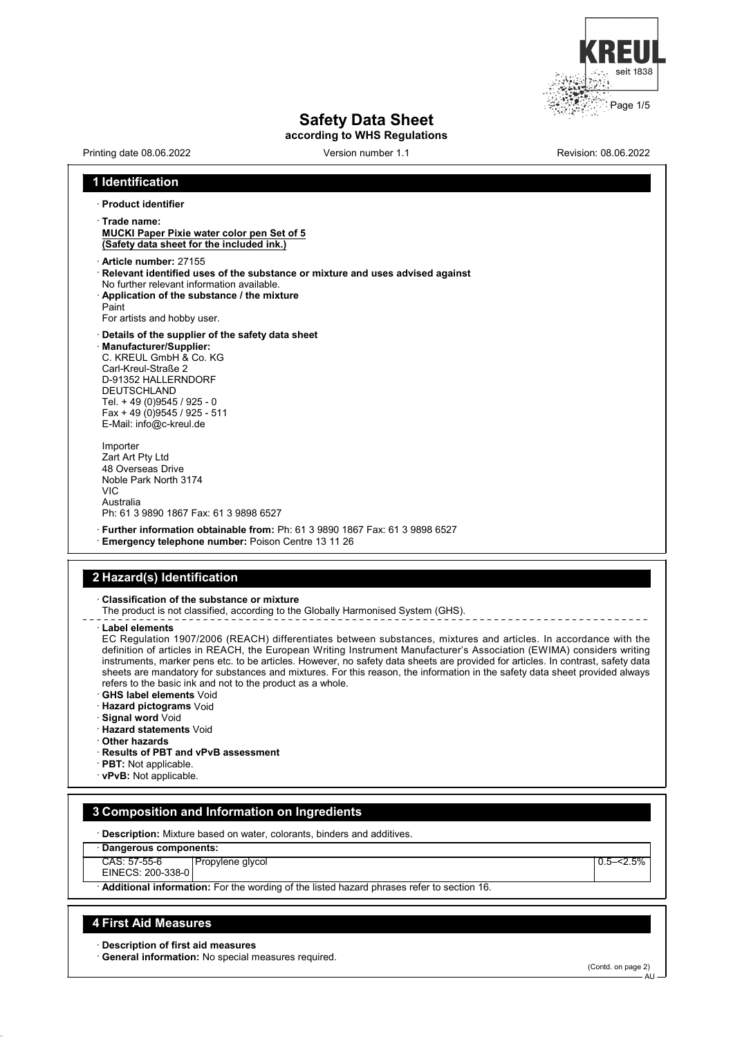

# **Safety Data Sheet**

**according to WHS Regulations**

Printing date 08.06.2022 Version number 1.1 Revision: 08.06.2022

#### **1 Identification** · **Product identifier** · **Trade name: MUCKI Paper Pixie water color pen Set of 5 (Safety data sheet for the included ink.)** · **Article number:** 27155 · **Relevant identified uses of the substance or mixture and uses advised against** No further relevant information available. · **Application of the substance / the mixture** Paint For artists and hobby user. · **Details of the supplier of the safety data sheet** · **Manufacturer/Supplier:** C. KREUL GmbH & Co. KG Carl-Kreul-Straße 2 D-91352 HALLERNDORF DEUTSCHLAND Tel. + 49 (0)9545 / 925 - 0 Fax + 49 (0)9545 / 925 - 511 E-Mail: info@c-kreul.de Importer Zart Art Pty Ltd 48 Overseas Drive Noble Park North 3174 VIC Australia Ph: 61 3 9890 1867 Fax: 61 3 9898 6527 · **Further information obtainable from:** Ph: 61 3 9890 1867 Fax: 61 3 9898 6527 · **Emergency telephone number:** Poison Centre 13 11 26

# **2 Hazard(s) Identification**

· **Classification of the substance or mixture**

The product is not classified, according to the Globally Harmonised System (GHS).

· **Label elements**

EC Regulation 1907/2006 (REACH) differentiates between substances, mixtures and articles. In accordance with the definition of articles in REACH, the European Writing Instrument Manufacturer's Association (EWIMA) considers writing instruments, marker pens etc. to be articles. However, no safety data sheets are provided for articles. In contrast, safety data sheets are mandatory for substances and mixtures. For this reason, the information in the safety data sheet provided always refers to the basic ink and not to the product as a whole.

- · **GHS label elements** Void
- · **Hazard pictograms** Void
- · **Signal word** Void
- · **Hazard statements** Void
- · **Other hazards**
- · **Results of PBT and vPvB assessment**
- · **PBT:** Not applicable.
- · **vPvB:** Not applicable.

### **3 Composition and Information on Ingredients**

· **Description:** Mixture based on water, colorants, binders and additives.

· **Dangerous components:**

CAS: 57-55-6 Propylene glycol **2.5–1.5%** Propylene glycol **2.5–1.5% Propylene** glycol **2.5–1.5% Propylene** glycol **2.5–1.5% Propylene** glycol **2.5–1.5% Propylene** glycol **2.5–1.5% Propylene** glycol **2.5–1.5% Propylene** glycol **2.5–1.5%** 

EINECS: 200-338-0

· **Additional information:** For the wording of the listed hazard phrases refer to section 16.

#### **4 First Aid Measures**

· **Description of first aid measures**

· **General information:** No special measures required.

(Contd. on page 2)

**AU**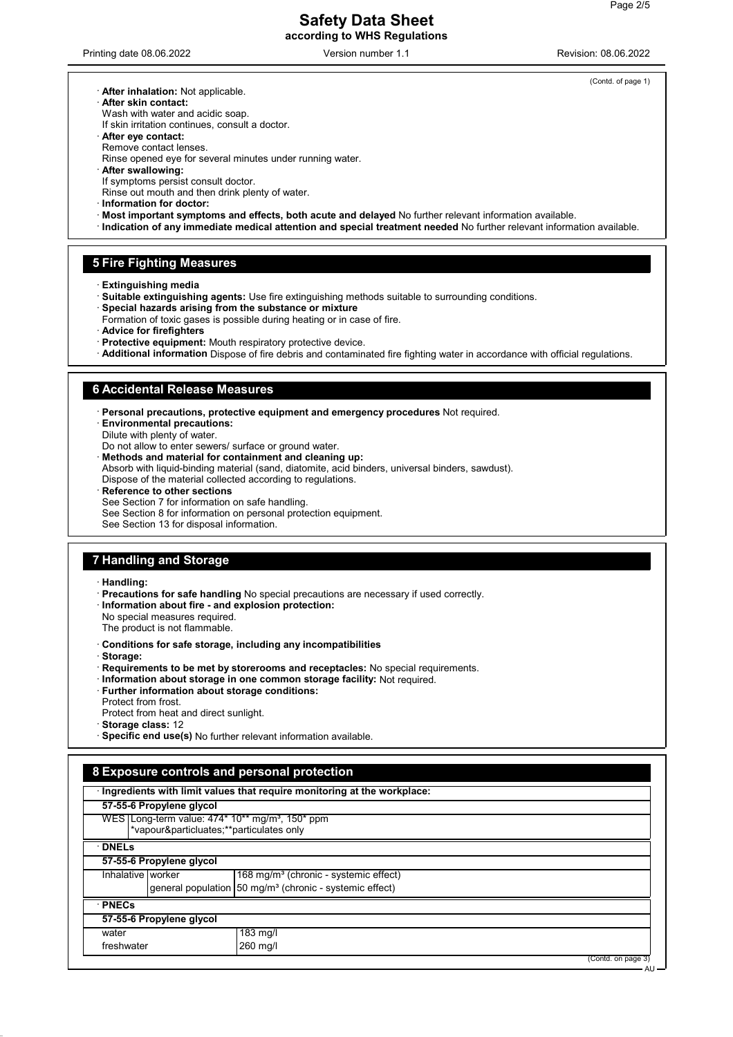### **Safety Data Sheet according to WHS Regulations**

Printing date 08.06.2022 **Version number 1.1** Nevision: 08.06.2022 Revision: 08.06.2022

(Contd. of page 1)

- · **After inhalation:** Not applicable.
- · **After skin contact:**
- Wash with water and acidic soap. If skin irritation continues, consult a doctor.
- · **After eye contact:**
- Remove contact lenses.
- Rinse opened eye for several minutes under running water.
- · **After swallowing:**
- If symptoms persist consult doctor.
- Rinse out mouth and then drink plenty of water.
- · **Information for doctor:**
- · **Most important symptoms and effects, both acute and delayed** No further relevant information available.
- · **Indication of any immediate medical attention and special treatment needed** No further relevant information available.

#### **5 Fire Fighting Measures**

- · **Extinguishing media**
- · **Suitable extinguishing agents:** Use fire extinguishing methods suitable to surrounding conditions.
- · **Special hazards arising from the substance or mixture**
- Formation of toxic gases is possible during heating or in case of fire.
- · **Advice for firefighters**
- · **Protective equipment:** Mouth respiratory protective device.
- · **Additional information** Dispose of fire debris and contaminated fire fighting water in accordance with official regulations.

#### **6 Accidental Release Measures**

- · **Personal precautions, protective equipment and emergency procedures** Not required.
- · **Environmental precautions:**
- Dilute with plenty of water.
- Do not allow to enter sewers/ surface or ground water.
- · **Methods and material for containment and cleaning up:**
- Absorb with liquid-binding material (sand, diatomite, acid binders, universal binders, sawdust).
- Dispose of the material collected according to regulations.
- **Reference to other sections**
- See Section 7 for information on safe handling.
- See Section 8 for information on personal protection equipment.
- See Section 13 for disposal information.

### **7 Handling and Storage**

· **Handling:**

- · **Precautions for safe handling** No special precautions are necessary if used correctly.
- · **Information about fire and explosion protection:**
- No special measures required.
- The product is not flammable.
- · **Conditions for safe storage, including any incompatibilities**
- · **Storage:**
- · **Requirements to be met by storerooms and receptacles:** No special requirements.
- · **Information about storage in one common storage facility:** Not required.
- · **Further information about storage conditions:**
- Protect from frost. Protect from heat and direct sunlight.
- · **Storage class:** 12
- · **Specific end use(s)** No further relevant information available.

### **8 Exposure controls and personal protection** · **Ingredients with limit values that require monitoring at the workplace: 57-55-6 Propylene glycol** WES Long-term value: 474\* 10\*\* mg/m<sup>3</sup>, 150\* ppm \*vapour&particluates;\*\*particulates only · **DNELs 57-55-6 Propylene glycol** Inhalative worker  $168$  mg/m<sup>3</sup> (chronic - systemic effect) general population  $50 \text{ mg/m}^3$  (chronic - systemic effect) · **PNECs 57-55-6 Propylene glycol** water 183 mg/l freshwater 260 mg/l (Contd. on page 3) A<sub>U</sub>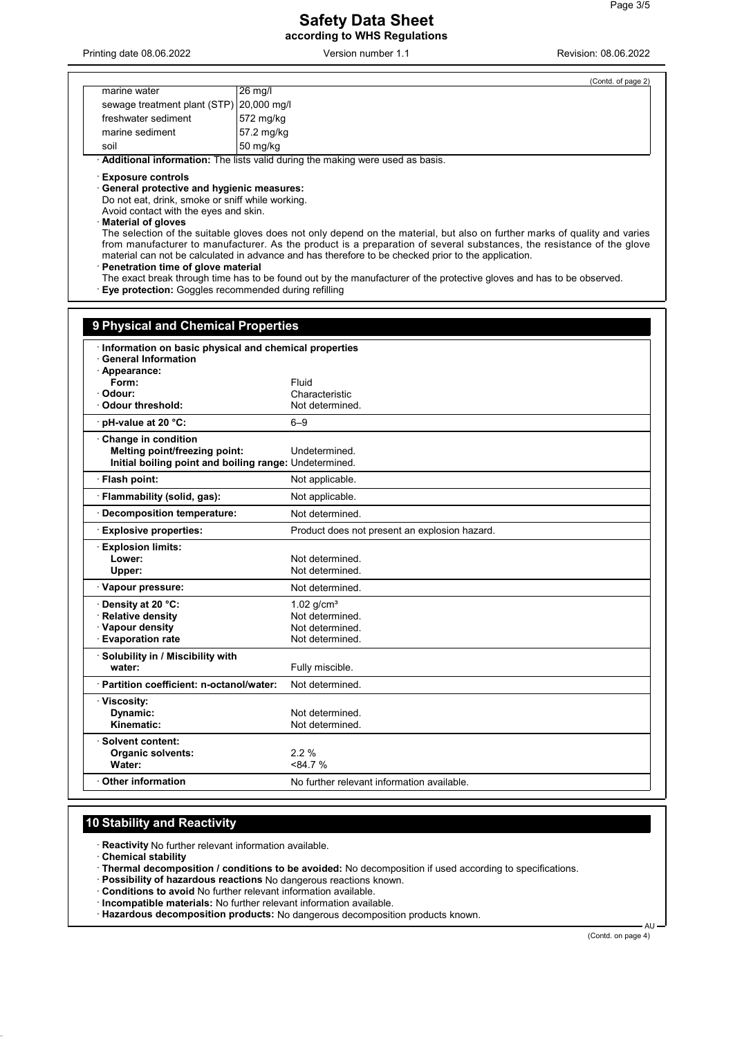### **Safety Data Sheet according to WHS Regulations**

Printing date 08.06.2022 **Version number 1.1** Printing date 08.06.2022 **Revision: 08.06.2022** 

|                                                                                                                                                                                                                                                                                               | (Contd. of page 2)                                                                                                                                                                                                                                                                                                                                                                                                                                                                  |
|-----------------------------------------------------------------------------------------------------------------------------------------------------------------------------------------------------------------------------------------------------------------------------------------------|-------------------------------------------------------------------------------------------------------------------------------------------------------------------------------------------------------------------------------------------------------------------------------------------------------------------------------------------------------------------------------------------------------------------------------------------------------------------------------------|
| marine water                                                                                                                                                                                                                                                                                  | 26 mg/l                                                                                                                                                                                                                                                                                                                                                                                                                                                                             |
| sewage treatment plant (STP)                                                                                                                                                                                                                                                                  | 20,000 mg/l                                                                                                                                                                                                                                                                                                                                                                                                                                                                         |
| freshwater sediment                                                                                                                                                                                                                                                                           | 572 mg/kg                                                                                                                                                                                                                                                                                                                                                                                                                                                                           |
| marine sediment                                                                                                                                                                                                                                                                               | 57.2 mg/kg                                                                                                                                                                                                                                                                                                                                                                                                                                                                          |
| soil                                                                                                                                                                                                                                                                                          | 50 mg/kg                                                                                                                                                                                                                                                                                                                                                                                                                                                                            |
|                                                                                                                                                                                                                                                                                               | · Additional information: The lists valid during the making were used as basis.                                                                                                                                                                                                                                                                                                                                                                                                     |
| <b>Exposure controls</b><br>General protective and hygienic measures:<br>Do not eat, drink, smoke or sniff while working.<br>Avoid contact with the eyes and skin.<br><b>Material of gloves</b><br>Penetration time of glove material<br>Eye protection: Goggles recommended during refilling | The selection of the suitable gloves does not only depend on the material, but also on further marks of quality and varies<br>from manufacturer to manufacturer. As the product is a preparation of several substances, the resistance of the glove<br>material can not be calculated in advance and has therefore to be checked prior to the application.<br>The exact break through time has to be found out by the manufacturer of the protective gloves and has to be observed. |
| 9 Physical and Chemical Properties<br>· Information on basic physical and chemical properties<br><b>General Information</b>                                                                                                                                                                   |                                                                                                                                                                                                                                                                                                                                                                                                                                                                                     |
| · Appearance:                                                                                                                                                                                                                                                                                 |                                                                                                                                                                                                                                                                                                                                                                                                                                                                                     |
| Form:                                                                                                                                                                                                                                                                                         | Fluid                                                                                                                                                                                                                                                                                                                                                                                                                                                                               |
| Odour:                                                                                                                                                                                                                                                                                        | Characteristic                                                                                                                                                                                                                                                                                                                                                                                                                                                                      |
| Odour threshold:                                                                                                                                                                                                                                                                              | Not determined.                                                                                                                                                                                                                                                                                                                                                                                                                                                                     |
| pH-value at 20 °C:                                                                                                                                                                                                                                                                            | $6 - 9$                                                                                                                                                                                                                                                                                                                                                                                                                                                                             |
| Change in condition<br>Melting point/freezing point:                                                                                                                                                                                                                                          | Undetermined.<br>Initial boiling point and boiling range: Undetermined.                                                                                                                                                                                                                                                                                                                                                                                                             |
| · Flash point:                                                                                                                                                                                                                                                                                | Not applicable.                                                                                                                                                                                                                                                                                                                                                                                                                                                                     |
| · Flammability (solid, gas):                                                                                                                                                                                                                                                                  | Not applicable.                                                                                                                                                                                                                                                                                                                                                                                                                                                                     |
| Decomposition temperature:                                                                                                                                                                                                                                                                    | Not determined.                                                                                                                                                                                                                                                                                                                                                                                                                                                                     |
|                                                                                                                                                                                                                                                                                               |                                                                                                                                                                                                                                                                                                                                                                                                                                                                                     |
| <b>Explosive properties:</b>                                                                                                                                                                                                                                                                  | Product does not present an explosion hazard.                                                                                                                                                                                                                                                                                                                                                                                                                                       |
| ⋅ Explosion limits:<br>Lower:<br>Upper:                                                                                                                                                                                                                                                       | Not determined.<br>Not determined.                                                                                                                                                                                                                                                                                                                                                                                                                                                  |
| · Vapour pressure:                                                                                                                                                                                                                                                                            | Not determined.                                                                                                                                                                                                                                                                                                                                                                                                                                                                     |
| Density at 20 °C:                                                                                                                                                                                                                                                                             | 1.02 $q/cm^{3}$                                                                                                                                                                                                                                                                                                                                                                                                                                                                     |
| · Relative density                                                                                                                                                                                                                                                                            | Not determined.                                                                                                                                                                                                                                                                                                                                                                                                                                                                     |
| · Vapour density                                                                                                                                                                                                                                                                              | Not determined.                                                                                                                                                                                                                                                                                                                                                                                                                                                                     |
| <b>Evaporation rate</b>                                                                                                                                                                                                                                                                       | Not determined.                                                                                                                                                                                                                                                                                                                                                                                                                                                                     |
| · Solubility in / Miscibility with<br>water:                                                                                                                                                                                                                                                  | Fully miscible.                                                                                                                                                                                                                                                                                                                                                                                                                                                                     |
| · Partition coefficient: n-octanol/water:                                                                                                                                                                                                                                                     | Not determined.                                                                                                                                                                                                                                                                                                                                                                                                                                                                     |
| · Viscosity:<br>Dynamic:<br>Kinematic:                                                                                                                                                                                                                                                        | Not determined.<br>Not determined.                                                                                                                                                                                                                                                                                                                                                                                                                                                  |
| · Solvent content:<br><b>Organic solvents:</b><br>Water:                                                                                                                                                                                                                                      | 2.2%<br>< 84.7 %                                                                                                                                                                                                                                                                                                                                                                                                                                                                    |
| Other information                                                                                                                                                                                                                                                                             | No further relevant information available.                                                                                                                                                                                                                                                                                                                                                                                                                                          |
|                                                                                                                                                                                                                                                                                               |                                                                                                                                                                                                                                                                                                                                                                                                                                                                                     |

## **10 Stability and Reactivity**

· **Reactivity** No further relevant information available.

· **Chemical stability**

· **Thermal decomposition / conditions to be avoided:** No decomposition if used according to specifications.

· **Possibility of hazardous reactions** No dangerous reactions known.

· **Conditions to avoid** No further relevant information available.

· **Incompatible materials:** No further relevant information available.

· **Hazardous decomposition products:** No dangerous decomposition products known.

(Contd. on page 4)

AU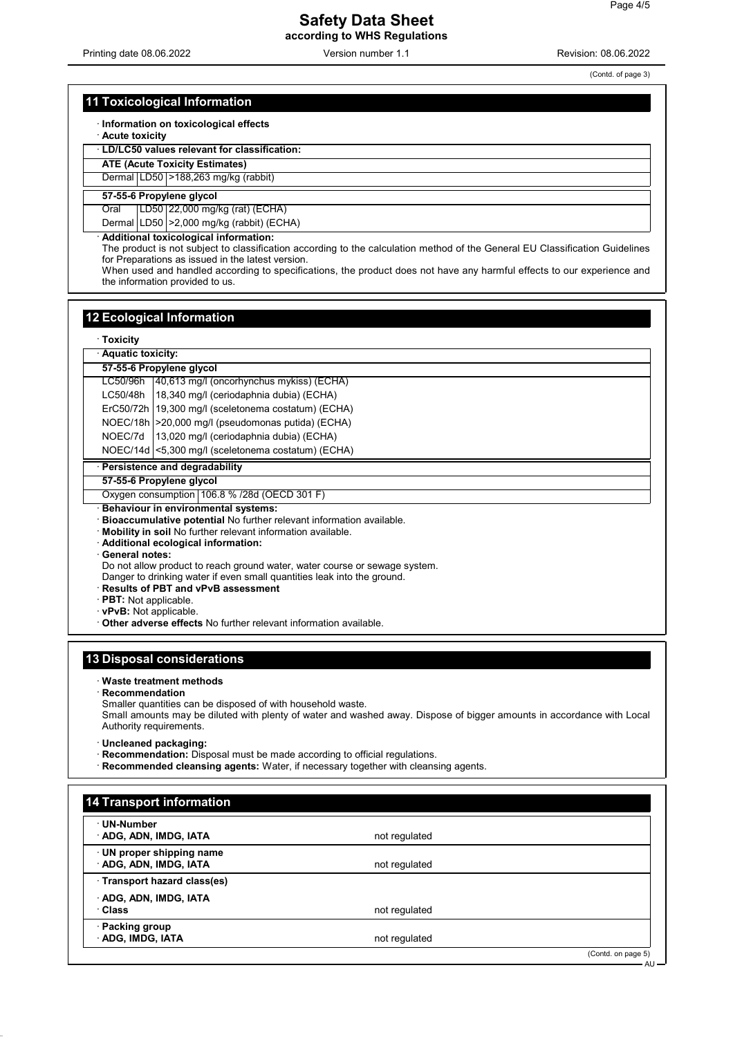Printing date 08.06.2022 Version number 1.1 Revision: 08.06.2022

(Contd. of page 3)

AU

### **11 Toxicological Information**

· **Information on toxicological effects**

· **Acute toxicity**

· **LD/LC50 values relevant for classification:**

**ATE (Acute Toxicity Estimates)**

Dermal LD50 >188,263 mg/kg (rabbit)

### **57-55-6 Propylene glycol**

Oral LD50 22,000 mg/kg (rat) (ECHA)

Dermal LD50 >2,000 mg/kg (rabbit) (ECHA)

· **Additional toxicological information:**

The product is not subject to classification according to the calculation method of the General EU Classification Guidelines for Preparations as issued in the latest version.

When used and handled according to specifications, the product does not have any harmful effects to our experience and the information provided to us.

#### **12 Ecological Information**

· **Toxicity**

|                                                                            | <b>IUAIGILY</b>                                                      |  |  |  |  |
|----------------------------------------------------------------------------|----------------------------------------------------------------------|--|--|--|--|
|                                                                            | <b>Aquatic toxicity:</b>                                             |  |  |  |  |
|                                                                            | 57-55-6 Propylene glycol                                             |  |  |  |  |
| LC50/96h                                                                   | 40,613 mg/l (oncorhynchus mykiss) (ECHA)                             |  |  |  |  |
| LC50/48h                                                                   | 18,340 mg/l (ceriodaphnia dubia) (ECHA)                              |  |  |  |  |
|                                                                            | ErC50/72h   19,300 mg/l (sceletonema costatum) (ECHA)                |  |  |  |  |
|                                                                            | NOEC/18h   > 20,000 mg/l (pseudomonas putida) (ECHA)                 |  |  |  |  |
| NOEC/7d                                                                    | 13,020 mg/l (ceriodaphnia dubia) (ECHA)                              |  |  |  |  |
|                                                                            | NOEC/14d <5,300 mg/l (sceletonema costatum) (ECHA)                   |  |  |  |  |
| <b>Persistence and degradability</b>                                       |                                                                      |  |  |  |  |
| 57-55-6 Propylene glycol                                                   |                                                                      |  |  |  |  |
| Oxygen consumption 106.8 % /28d (OECD 301 F)                               |                                                                      |  |  |  |  |
|                                                                            | Behaviour in environmental systems:                                  |  |  |  |  |
|                                                                            | Bioaccumulative potential No further relevant information available. |  |  |  |  |
| Mobility in soil No further relevant information available.                |                                                                      |  |  |  |  |
| Additional ecological information:                                         |                                                                      |  |  |  |  |
|                                                                            | · General notes:                                                     |  |  |  |  |
| Do not allow product to reach ground water, water course or sewage system. |                                                                      |  |  |  |  |
| Danger to drinking water if even small quantities leak into the ground.    |                                                                      |  |  |  |  |
| <b>Results of PBT and vPvB assessment</b>                                  |                                                                      |  |  |  |  |
| <b>PBT:</b> Not applicable.                                                |                                                                      |  |  |  |  |
|                                                                            | vPvB: Not applicable.                                                |  |  |  |  |
|                                                                            | Other adverse effects No further relevant information available.     |  |  |  |  |

### **13 Disposal considerations**

#### · **Waste treatment methods**

· **Recommendation**

Smaller quantities can be disposed of with household waste. Small amounts may be diluted with plenty of water and washed away. Dispose of bigger amounts in accordance with Local Authority requirements.

· **Uncleaned packaging:**

· **Recommendation:** Disposal must be made according to official regulations.

· **Recommended cleansing agents:** Water, if necessary together with cleansing agents.

| · UN-Number                |               |  |
|----------------------------|---------------|--|
| ADG, ADN, IMDG, IATA       | not regulated |  |
| UN proper shipping name    |               |  |
| ADG, ADN, IMDG, IATA       | not regulated |  |
| Transport hazard class(es) |               |  |
| ADG, ADN, IMDG, IATA       |               |  |
| · Class                    | not regulated |  |
| · Packing group            |               |  |
| ADG, IMDG, IATA            | not regulated |  |